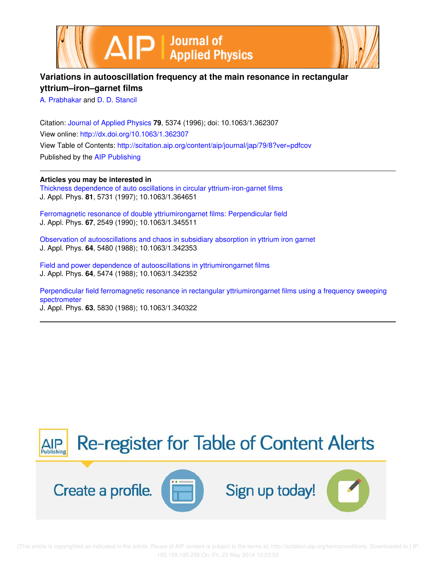



# **Variations in autooscillation frequency at the main resonance in rectangular yttrium–iron–garnet films**

A. Prabhakar and D. D. Stancil

Citation: Journal of Applied Physics **79**, 5374 (1996); doi: 10.1063/1.362307 View online: http://dx.doi.org/10.1063/1.362307 View Table of Contents: http://scitation.aip.org/content/aip/journal/jap/79/8?ver=pdfcov Published by the AIP Publishing

**Articles you may be interested in**

Thickness dependence of auto oscillations in circular yttrium-iron-garnet films J. Appl. Phys. **81**, 5731 (1997); 10.1063/1.364651

Ferromagnetic resonance of double yttriumirongarnet films: Perpendicular field J. Appl. Phys. **67**, 2549 (1990); 10.1063/1.345511

Observation of autooscillations and chaos in subsidiary absorption in yttrium iron garnet J. Appl. Phys. **64**, 5480 (1988); 10.1063/1.342353

Field and power dependence of autooscillations in yttriumirongarnet films J. Appl. Phys. **64**, 5474 (1988); 10.1063/1.342352

Perpendicular field ferromagnetic resonance in rectangular yttriumirongarnet films using a frequency sweeping spectrometer J. Appl. Phys. **63**, 5830 (1988); 10.1063/1.340322

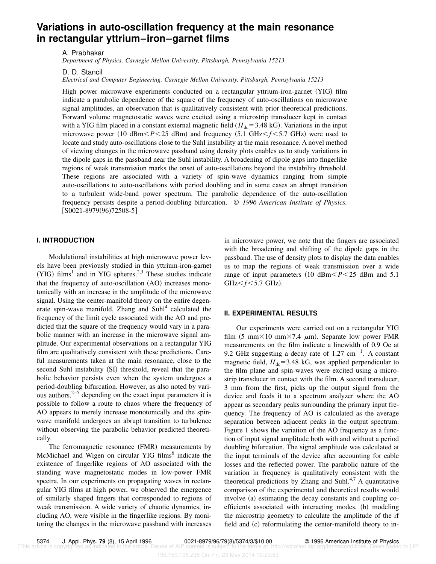# **Variations in auto-oscillation frequency at the main resonance in rectangular yttrium–iron–garnet films**

A. Prabhakar

*Department of Physics, Carnegie Mellon University, Pittsburgh, Pennsylvania 15213*

D. D. Stancil

*Electrical and Computer Engineering, Carnegie Mellon University, Pittsburgh, Pennsylvania 15213*

High power microwave experiments conducted on a rectangular yttrium-iron-garnet (YIG) film indicate a parabolic dependence of the square of the frequency of auto-oscillations on microwave signal amplitudes, an observation that is qualitatively consistent with prior theoretical predictions. Forward volume magnetostatic waves were excited using a microstrip transducer kept in contact with a YIG film placed in a constant external magnetic field ( $H_{dc}$ =3.48 kG). Variations in the input microwave power  $(10 \text{ dBm} *P* < 25 \text{ dBm})$  and frequency  $(5.1 \text{ GHz} *f* < 5.7 \text{ GHz})$  were used to locate and study auto-oscillations close to the Suhl instability at the main resonance. A novel method of viewing changes in the microwave passband using density plots enables us to study variations in the dipole gaps in the passband near the Suhl instability. A broadening of dipole gaps into fingerlike regions of weak transmission marks the onset of auto-oscillations beyond the instability threshold. These regions are associated with a variety of spin-wave dynamics ranging from simple auto-oscillations to auto-oscillations with period doubling and in some cases an abrupt transition to a turbulent wide-band power spectrum. The parabolic dependence of the auto-oscillation frequency persists despite a period-doubling bifurcation. © *1996 American Institute of Physics.*  $[$ S0021-8979(96)72508-5 $]$ 

### **I. INTRODUCTION**

Modulational instabilities at high microwave power levels have been previously studied in thin yttrium-iron-garnet (YIG) films<sup>1</sup> and in YIG spheres.<sup>2,3</sup> These studies indicate that the frequency of auto-oscillation  $(AO)$  increases monotonically with an increase in the amplitude of the microwave signal. Using the center-manifold theory on the entire degenerate spin-wave manifold, Zhang and Suhl<sup>4</sup> calculated the frequency of the limit cycle associated with the AO and predicted that the square of the frequency would vary in a parabolic manner with an increase in the microwave signal amplitude. Our experimental observations on a rectangular YIG film are qualitatively consistent with these predictions. Careful measurements taken at the main resonance, close to the second Suhl instability (SI) threshold, reveal that the parabolic behavior persists even when the system undergoes a period-doubling bifurcation. However, as also noted by various authors, $2^{-5}$  depending on the exact input parameters it is possible to follow a route to chaos where the frequency of AO appears to merely increase monotonically and the spinwave manifold undergoes an abrupt transition to turbulence without observing the parabolic behavior predicted theoretically.

The ferromagnetic resonance (FMR) measurements by McMichael and Wigen on circular YIG films<sup>6</sup> indicate the existence of fingerlike regions of AO associated with the standing wave magnetostatic modes in low-power FMR spectra. In our experiments on propagating waves in rectangular YIG films at high power, we observed the emergence of similarly shaped fingers that corresponded to regions of weak transmission. A wide variety of chaotic dynamics, including AO, were visible in the fingerlike regions. By monitoring the changes in the microwave passband with increases in microwave power, we note that the fingers are associated with the broadening and shifting of the dipole gaps in the passband. The use of density plots to display the data enables us to map the regions of weak transmission over a wide range of input parameters  $(10 \text{ dBm} *P* < 25 \text{ dBm}$  and 5.1  $GHz < f < 5.7$  GHz).

#### **II. EXPERIMENTAL RESULTS**

Our experiments were carried out on a rectangular YIG film  $(5 \text{ mm} \times 10 \text{ mm} \times 7.4 \text{ \mu m})$ . Separate low power FMR measurements on the film indicate a linewidth of 0.9 Oe at 9.2 GHz suggesting a decay rate of  $1.27 \text{ cm}^{-1}$ . A constant magnetic field,  $H_{dc}$ =3.48 kG, was applied perpendicular to the film plane and spin-waves were excited using a microstrip transducer in contact with the film. A second transducer, 3 mm from the first, picks up the output signal from the device and feeds it to a spectrum analyzer where the AO appear as secondary peaks surrounding the primary input frequency. The frequency of AO is calculated as the average separation between adjacent peaks in the output spectrum. Figure 1 shows the variation of the AO frequency as a function of input signal amplitude both with and without a period doubling bifurcation. The signal amplitude was calculated at the input terminals of the device after accounting for cable losses and the reflected power. The parabolic nature of the variation in frequency is qualitatively consistent with the theoretical predictions by Zhang and Suhl. $4,7$  A quantitative comparison of the experimental and theoretical results would involve (a) estimating the decay constants and coupling coefficients associated with interacting modes, (b) modeling the microstrip geometry to calculate the amplitude of the rf field and  $(c)$  reformulating the center-manifold theory to in-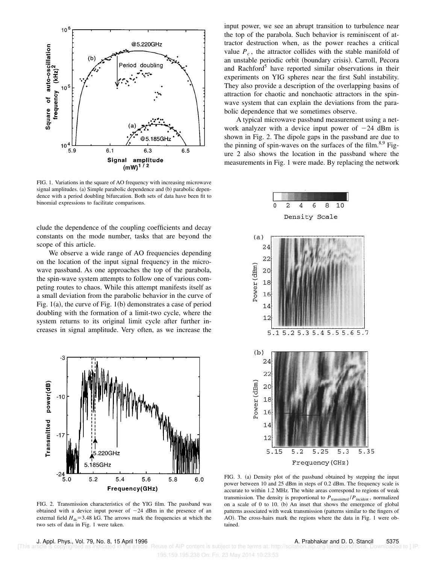

FIG. 1. Variations in the square of AO frequency with increasing microwave signal amplitudes. (a) Simple parabolic dependence and (b) parabolic dependence with a period doubling bifurcation. Both sets of data have been fit to binomial expressions to facilitate comparisons.

clude the dependence of the coupling coefficients and decay constants on the mode number, tasks that are beyond the scope of this article.

We observe a wide range of AO frequencies depending on the location of the input signal frequency in the microwave passband. As one approaches the top of the parabola, the spin-wave system attempts to follow one of various competing routes to chaos. While this attempt manifests itself as a small deviation from the parabolic behavior in the curve of Fig.  $1(a)$ , the curve of Fig.  $1(b)$  demonstrates a case of period doubling with the formation of a limit-two cycle, where the system returns to its original limit cycle after further increases in signal amplitude. Very often, as we increase the



FIG. 2. Transmission characteristics of the YIG film. The passband was obtained with a device input power of  $-24$  dBm in the presence of an external field  $H_{dc}$ =3.48 kG. The arrows mark the frequencies at which the two sets of data in Fig. 1 were taken.

input power, we see an abrupt transition to turbulence near the top of the parabola. Such behavior is reminiscent of attractor destruction when, as the power reaches a critical value  $P_c$ , the attractor collides with the stable manifold of an unstable periodic orbit (boundary crisis). Carroll, Pecora and Rachford<sup>5</sup> have reported similar observations in their experiments on YIG spheres near the first Suhl instability. They also provide a description of the overlapping basins of attraction for chaotic and nonchaotic attractors in the spinwave system that can explain the deviations from the parabolic dependence that we sometimes observe.

A typical microwave passband measurement using a network analyzer with a device input power of  $-24$  dBm is shown in Fig. 2. The dipole gaps in the passband are due to the pinning of spin-waves on the surfaces of the film.<sup>8,9</sup> Figure 2 also shows the location in the passband where the measurements in Fig. 1 were made. By replacing the network



FIG. 3. (a) Density plot of the passband obtained by stepping the input power between 10 and 25 dBm in steps of 0.2 dBm. The frequency scale is accurate to within 1.2 MHz. The white areas correspond to regions of weak transmission. The density is proportional to  $P_{\text{transmitted}}/P_{\text{incident}}$ , normalized on a scale of  $0$  to  $10.$  (b) An inset that shows the emergence of global patterns associated with weak transmission (patterns similar to the fingers of AO). The cross-hairs mark the regions where the data in Fig. 1 were obtained.